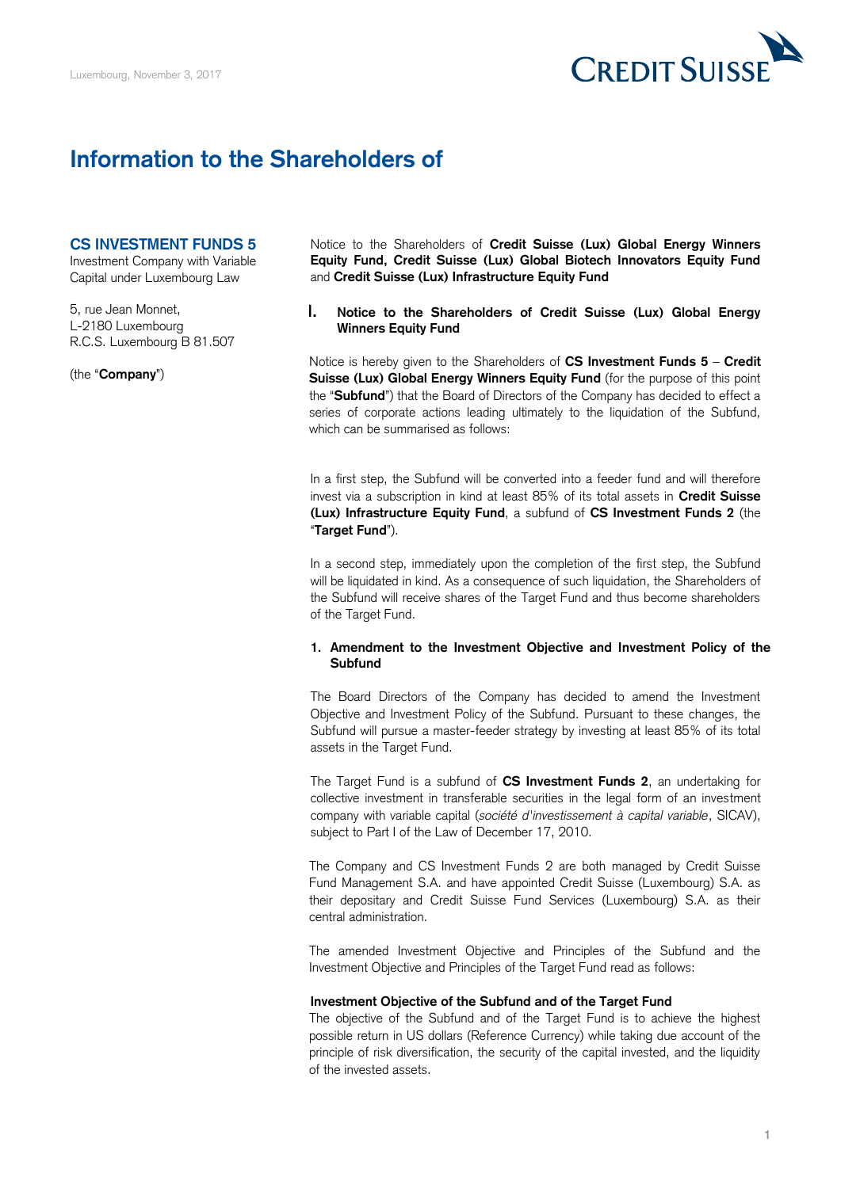

# **Information to the Shareholders of**

### **CS INVESTMENT FUNDS 5**

Investment Company with Variable Capital under Luxembourg Law

5, rue Jean Monnet, L-2180 Luxembourg R.C.S. Luxembourg B 81.507

(the "**Company**")

 **Equity Fund, Credit Suisse (Lux) Global Biotech Innovators Equity Fund**  Notice to the Shareholders of **Credit Suisse (Lux) Global Energy Winners**  and **Credit Suisse (Lux) Infrastructure Equity Fund** 

### **I. Notice to the Shareholders of Credit Suisse (Lux) Global Energy Winners Equity Fund**

 Notice is hereby given to the Shareholders of **CS Investment Funds 5** – **Credit**  Suisse (Lux) Global Energy Winners Equity Fund (for the purpose of this point the "**Subfund**") that the Board of Directors of the Company has decided to effect a series of corporate actions leading ultimately to the liquidation of the Subfund, which can be summarised as follows:

 In a first step, the Subfund will be converted into a feeder fund and will therefore invest via a subscription in kind at least 85% of its total assets in **Credit Suisse (Lux) Infrastructure Equity Fund**, a subfund of **CS Investment Funds 2** (the "**Target Fund**").

 In a second step, immediately upon the completion of the first step, the Subfund the Subfund will receive shares of the Target Fund and thus become shareholders will be liquidated in kind. As a consequence of such liquidation, the Shareholders of of the Target Fund.

### **1. Amendment to the Investment Objective and Investment Policy of the Subfund**

 The Board Directors of the Company has decided to amend the Investment Objective and Investment Policy of the Subfund. Pursuant to these changes, the Subfund will pursue a master-feeder strategy by investing at least 85% of its total assets in the Target Fund.

 The Target Fund is a subfund of **CS Investment Funds 2**, an undertaking for collective investment in transferable securities in the legal form of an investment company with variable capital (*société d'investissement à capital variable*, SICAV), subject to Part I of the Law of December 17, 2010.

 The Company and CS Investment Funds 2 are both managed by Credit Suisse Fund Management S.A. and have appointed Credit Suisse (Luxembourg) S.A. as their depositary and Credit Suisse Fund Services (Luxembourg) S.A. as their central administration.

 The amended Investment Objective and Principles of the Subfund and the Investment Objective and Principles of the Target Fund read as follows:

### **Investment Objective of the Subfund and of the Target Fund**

 The objective of the Subfund and of the Target Fund is to achieve the highest possible return in US dollars (Reference Currency) while taking due account of the principle of risk diversification, the security of the capital invested, and the liquidity of the invested assets.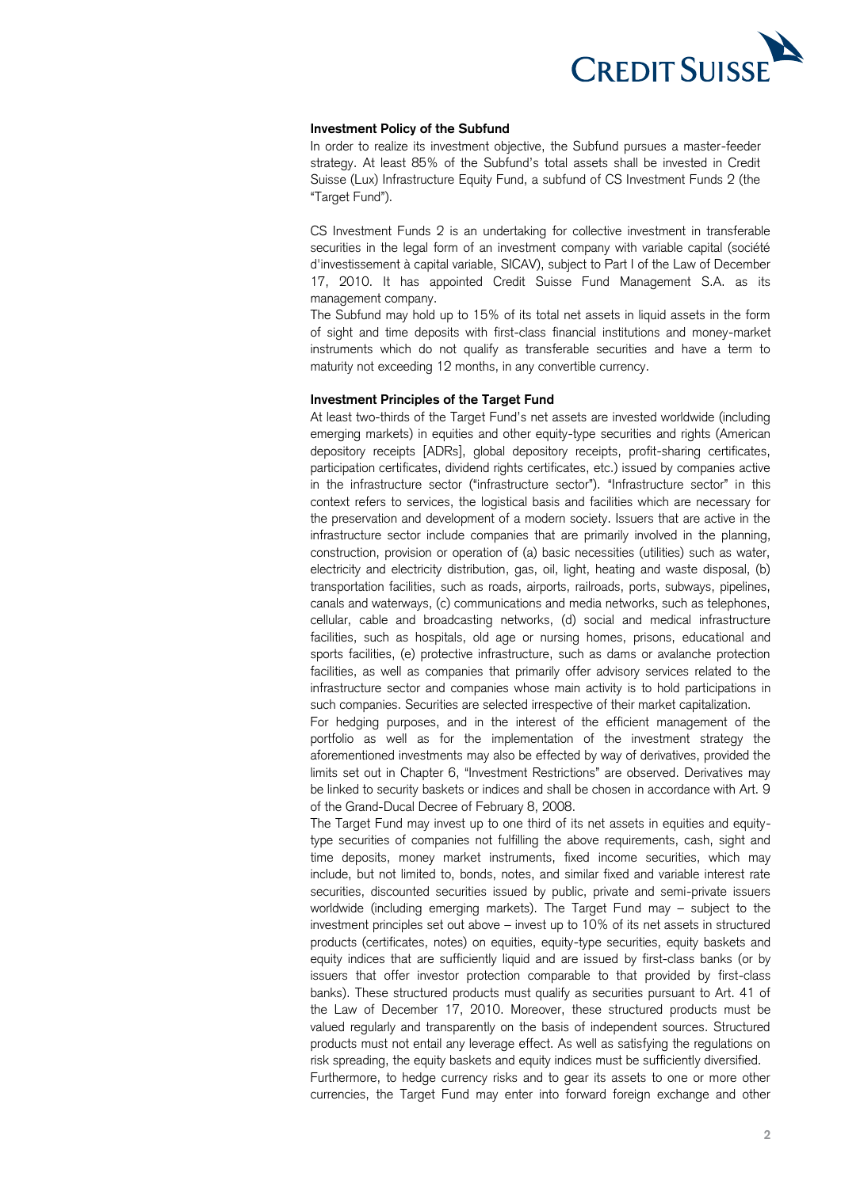

### **Investment Policy of the Subfund**

 In order to realize its investment objective, the Subfund pursues a master-feeder strategy. At least 85% of the Subfund's total assets shall be invested in Credit Suisse (Lux) Infrastructure Equity Fund, a subfund of CS Investment Funds 2 (the "Target Fund").

 CS Investment Funds 2 is an undertaking for collective investment in transferable securities in the legal form of an investment company with variable capital (société 17, 2010. It has appointed Credit Suisse Fund Management S.A. as its d'investissement à capital variable, SICAV), subject to Part I of the Law of December management company.

 The Subfund may hold up to 15% of its total net assets in liquid assets in the form of sight and time deposits with first-class financial institutions and money-market instruments which do not qualify as transferable securities and have a term to maturity not exceeding 12 months, in any convertible currency.

### **Investment Principles of the Target Fund**

 At least two-thirds of the Target Fund's net assets are invested worldwide (including emerging markets) in equities and other equity-type securities and rights (American depository receipts [ADRs], global depository receipts, profit-sharing certificates, participation certificates, dividend rights certificates, etc.) issued by companies active in the infrastructure sector ("infrastructure sector"). "Infrastructure sector" in this context refers to services, the logistical basis and facilities which are necessary for the preservation and development of a modern society. Issuers that are active in the infrastructure sector include companies that are primarily involved in the planning, construction, provision or operation of (a) basic necessities (utilities) such as water, electricity and electricity distribution, gas, oil, light, heating and waste disposal, (b) transportation facilities, such as roads, airports, railroads, ports, subways, pipelines, cellular, cable and broadcasting networks, (d) social and medical infrastructure facilities, such as hospitals, old age or nursing homes, prisons, educational and sports facilities, (e) protective infrastructure, such as dams or avalanche protection facilities, as well as companies that primarily offer advisory services related to the infrastructure sector and companies whose main activity is to hold participations in canals and waterways, (c) communications and media networks, such as telephones, such companies. Securities are selected irrespective of their market capitalization.

 For hedging purposes, and in the interest of the efficient management of the portfolio as well as for the implementation of the investment strategy the aforementioned investments may also be effected by way of derivatives, provided the limits set out in Chapter 6, "Investment Restrictions" are observed. Derivatives may be linked to security baskets or indices and shall be chosen in accordance with Art. 9 of the Grand-Ducal Decree of February 8, 2008.

 The Target Fund may invest up to one third of its net assets in equities and equity- type securities of companies not fulfilling the above requirements, cash, sight and time deposits, money market instruments, fixed income securities, which may include, but not limited to, bonds, notes, and similar fixed and variable interest rate securities, discounted securities issued by public, private and semi-private issuers worldwide (including emerging markets). The Target Fund may – subject to the investment principles set out above – invest up to 10% of its net assets in structured products (certificates, notes) on equities, equity-type securities, equity baskets and equity indices that are sufficiently liquid and are issued by first-class banks (or by issuers that offer investor protection comparable to that provided by first-class banks). These structured products must qualify as securities pursuant to Art. 41 of the Law of December 17, 2010. Moreover, these structured products must be valued regularly and transparently on the basis of independent sources. Structured products must not entail any leverage effect. As well as satisfying the regulations on risk spreading, the equity baskets and equity indices must be sufficiently diversified.

 Furthermore, to hedge currency risks and to gear its assets to one or more other currencies, the Target Fund may enter into forward foreign exchange and other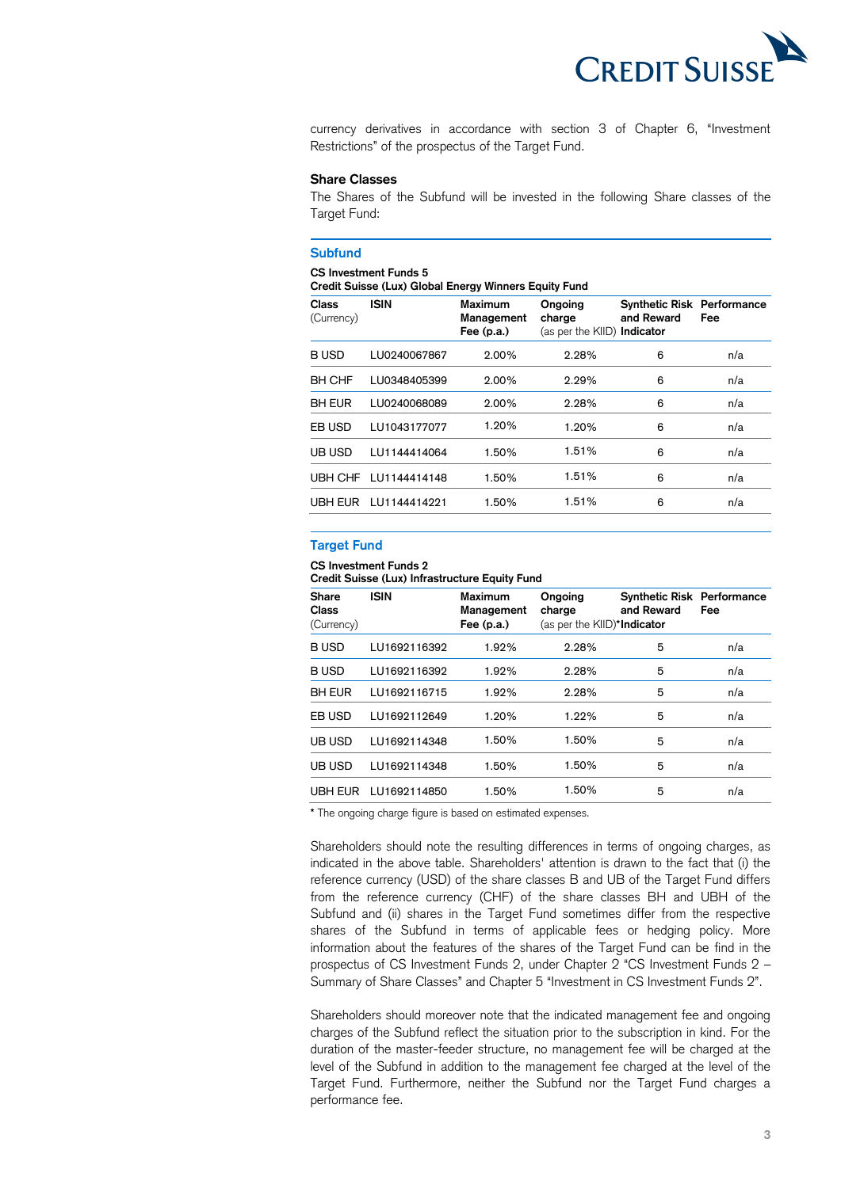

 currency derivatives in accordance with section 3 of Chapter 6, "Investment Restrictions" of the prospectus of the Target Fund.

### **Share Classes**

 The Shares of the Subfund will be invested in the following Share classes of the Target Fund:

#### **Subfund**

#### **CS Investment Funds 5**

 **Credit Suisse (Lux) Global Energy Winners Equity Fund** 

| <b>Class</b><br>(Currency) | <b>ISIN</b>          | <b>Maximum</b><br>Management<br>Fee $(p.a.)$ | Ongoing<br>charge<br>(as per the KIID) Indicator | <b>Synthetic Risk Performance</b><br>and Reward | Fee |
|----------------------------|----------------------|----------------------------------------------|--------------------------------------------------|-------------------------------------------------|-----|
| <b>BUSD</b>                | LU0240067867         | 2.00%                                        | 2.28%                                            | 6                                               | n/a |
| <b>BH CHF</b>              | LU0348405399         | 2.00%                                        | 2.29%                                            | 6                                               | n/a |
| <b>BH EUR</b>              | LU0240068089         | 2.00%                                        | 2.28%                                            | 6                                               | n/a |
| EB USD                     | LU1043177077         | 1.20%                                        | 1.20%                                            | 6                                               | n/a |
| UB USD                     | LU1144414064         | 1.50%                                        | 1.51%                                            | 6                                               | n/a |
|                            | UBH CHF LU1144414148 | 1.50%                                        | 1.51%                                            | 6                                               | n/a |
|                            |                      | 1.50%                                        | 1.51%                                            | 6                                               | n/a |
|                            |                      |                                              |                                                  |                                                 |     |

### **Target Fund**

### **CS Investment Funds 2**

 **Credit Suisse (Lux) Infrastructure Equity Fund** 

| <b>Share</b><br>Class<br>(Currency) | <b>ISIN</b>  | Maximum<br>Management<br>Fee $(p.a.)$ | Ongoing<br>charge<br>(as per the KIID)*Indicator | <b>Synthetic Risk Performance</b><br>and Reward | Fee |
|-------------------------------------|--------------|---------------------------------------|--------------------------------------------------|-------------------------------------------------|-----|
| <b>BUSD</b>                         | LU1692116392 | 1.92%                                 | 2.28%                                            | 5                                               | n/a |
| <b>BUSD</b>                         | LU1692116392 | 1.92%                                 | 2.28%                                            | 5                                               | n/a |
| <b>BH EUR</b>                       | LU1692116715 | 1.92%                                 | 2.28%                                            | 5                                               | n/a |
| EB USD                              | LU1692112649 | 1.20%                                 | 1.22%                                            | 5                                               | n/a |
| UB USD                              | LU1692114348 | 1.50%                                 | 1.50%                                            | 5                                               | n/a |
| UB USD                              | LU1692114348 | 1.50%                                 | 1.50%                                            | 5                                               | n/a |
| UBH EUR                             | LU1692114850 | 1.50%                                 | 1.50%                                            | 5                                               | n/a |

**\*** The ongoing charge figure is based on estimated expenses.

 Shareholders should note the resulting differences in terms of ongoing charges, as indicated in the above table. Shareholders' attention is drawn to the fact that (i) the reference currency (USD) of the share classes B and UB of the Target Fund differs from the reference currency (CHF) of the share classes BH and UBH of the Subfund and (ii) shares in the Target Fund sometimes differ from the respective shares of the Subfund in terms of applicable fees or hedging policy. More information about the features of the shares of the Target Fund can be find in the prospectus of CS Investment Funds 2, under Chapter 2 "CS Investment Funds 2 – Summary of Share Classes" and Chapter 5 "Investment in CS Investment Funds 2".

 Shareholders should moreover note that the indicated management fee and ongoing charges of the Subfund reflect the situation prior to the subscription in kind. For the duration of the master-feeder structure, no management fee will be charged at the level of the Subfund in addition to the management fee charged at the level of the Target Fund. Furthermore, neither the Subfund nor the Target Fund charges a performance fee.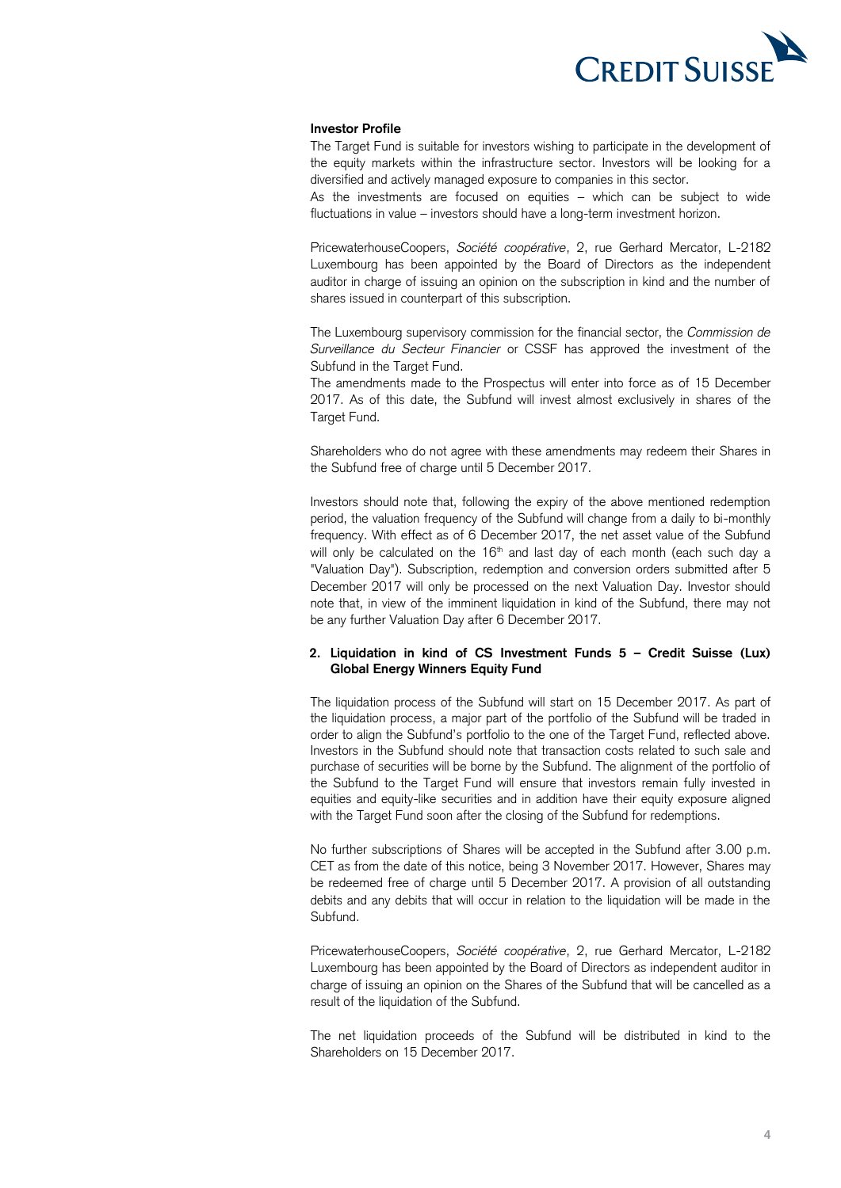

#### **Investor Profile**

 The Target Fund is suitable for investors wishing to participate in the development of the equity markets within the infrastructure sector. Investors will be looking for a diversified and actively managed exposure to companies in this sector.

 As the investments are focused on equities – which can be subject to wide fluctuations in value – investors should have a long-term investment horizon.

 PricewaterhouseCoopers, *Société coopérative*, 2, rue Gerhard Mercator, L-2182 Luxembourg has been appointed by the Board of Directors as the independent auditor in charge of issuing an opinion on the subscription in kind and the number of shares issued in counterpart of this subscription.

 The Luxembourg supervisory commission for the financial sector, the *Commission de Surveillance du Secteur Financier* or CSSF has approved the investment of the Subfund in the Target Fund.

 The amendments made to the Prospectus will enter into force as of 15 December 2017. As of this date, the Subfund will invest almost exclusively in shares of the Target Fund.

 Shareholders who do not agree with these amendments may redeem their Shares in the Subfund free of charge until 5 December 2017.

 Investors should note that, following the expiry of the above mentioned redemption period, the valuation frequency of the Subfund will change from a daily to bi-monthly frequency. With effect as of 6 December 2017, the net asset value of the Subfund will only be calculated on the  $16<sup>th</sup>$  and last day of each month (each such day a "Valuation Day"). Subscription, redemption and conversion orders submitted after 5 December 2017 will only be processed on the next Valuation Day. Investor should note that, in view of the imminent liquidation in kind of the Subfund, there may not be any further Valuation Day after 6 December 2017.

### **2. Liquidation in kind of CS Investment Funds 5 – Credit Suisse (Lux) Global Energy Winners Equity Fund**

 The liquidation process of the Subfund will start on 15 December 2017. As part of the liquidation process, a major part of the portfolio of the Subfund will be traded in order to align the Subfund's portfolio to the one of the Target Fund, reflected above. Investors in the Subfund should note that transaction costs related to such sale and purchase of securities will be borne by the Subfund. The alignment of the portfolio of the Subfund to the Target Fund will ensure that investors remain fully invested in equities and equity-like securities and in addition have their equity exposure aligned with the Target Fund soon after the closing of the Subfund for redemptions.

 No further subscriptions of Shares will be accepted in the Subfund after 3.00 p.m. CET as from the date of this notice, being 3 November 2017. However, Shares may be redeemed free of charge until 5 December 2017. A provision of all outstanding debits and any debits that will occur in relation to the liquidation will be made in the Subfund.

 PricewaterhouseCoopers, *Société coopérative*, 2, rue Gerhard Mercator, L-2182 Luxembourg has been appointed by the Board of Directors as independent auditor in charge of issuing an opinion on the Shares of the Subfund that will be cancelled as a result of the liquidation of the Subfund.

 The net liquidation proceeds of the Subfund will be distributed in kind to the Shareholders on 15 December 2017.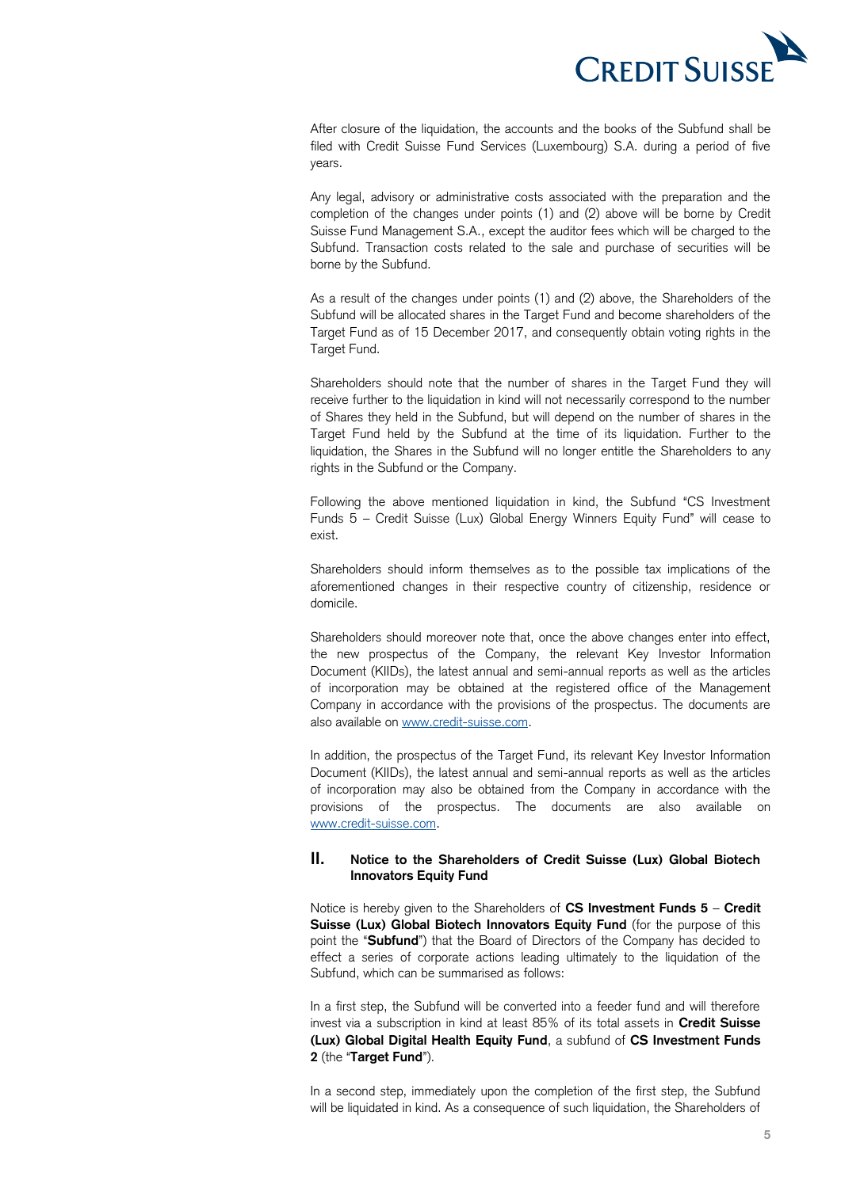

 After closure of the liquidation, the accounts and the books of the Subfund shall be filed with Credit Suisse Fund Services (Luxembourg) S.A. during a period of five years.

 Any legal, advisory or administrative costs associated with the preparation and the completion of the changes under points (1) and (2) above will be borne by Credit Suisse Fund Management S.A., except the auditor fees which will be charged to the Subfund. Transaction costs related to the sale and purchase of securities will be borne by the Subfund.

 As a result of the changes under points (1) and (2) above, the Shareholders of the Subfund will be allocated shares in the Target Fund and become shareholders of the Target Fund as of 15 December 2017, and consequently obtain voting rights in the Target Fund.

Target Fund.<br>Shareholders should note that the number of shares in the Target Fund they will receive further to the liquidation in kind will not necessarily correspond to the number of Shares they held in the Subfund, but will depend on the number of shares in the Target Fund held by the Subfund at the time of its liquidation. Further to the liquidation, the Shares in the Subfund will no longer entitle the Shareholders to any rights in the Subfund or the Company.

 Following the above mentioned liquidation in kind, the Subfund "CS Investment Funds 5 – Credit Suisse (Lux) Global Energy Winners Equity Fund" will cease to exist.

 Shareholders should inform themselves as to the possible tax implications of the aforementioned changes in their respective country of citizenship, residence or domicile.

 Shareholders should moreover note that, once the above changes enter into effect, the new prospectus of the Company, the relevant Key Investor Information Document (KIIDs), the latest annual and semi-annual reports as well as the articles of incorporation may be obtained at the registered office of the Management Company in accordance with the provisions of the prospectus. The documents are also available on [www.credit-suisse.com.](http://www.credit-suisse.com/)

 In addition, the prospectus of the Target Fund, its relevant Key Investor Information Document (KIIDs), the latest annual and semi-annual reports as well as the articles of incorporation may also be obtained from the Company in accordance with the provisions of the prospectus. The documents are also available on [www.credit-suisse.com.](http://www.credit-suisse.com/)

### **II. Notice to the Shareholders of Credit Suisse (Lux) Global Biotech Innovators Equity Fund**

 Notice is hereby given to the Shareholders of **CS Investment Funds 5** – **Credit**  Suisse (Lux) Global Biotech Innovators Equity Fund (for the purpose of this point the "**Subfund**") that the Board of Directors of the Company has decided to effect a series of corporate actions leading ultimately to the liquidation of the Subfund, which can be summarised as follows:

 In a first step, the Subfund will be converted into a feeder fund and will therefore invest via a subscription in kind at least 85% of its total assets in **Credit Suisse (Lux) Global Digital Health Equity Fund**, a subfund of **CS Investment Funds 2** (the "**Target Fund**").

 In a second step, immediately upon the completion of the first step, the Subfund will be liquidated in kind. As a consequence of such liquidation, the Shareholders of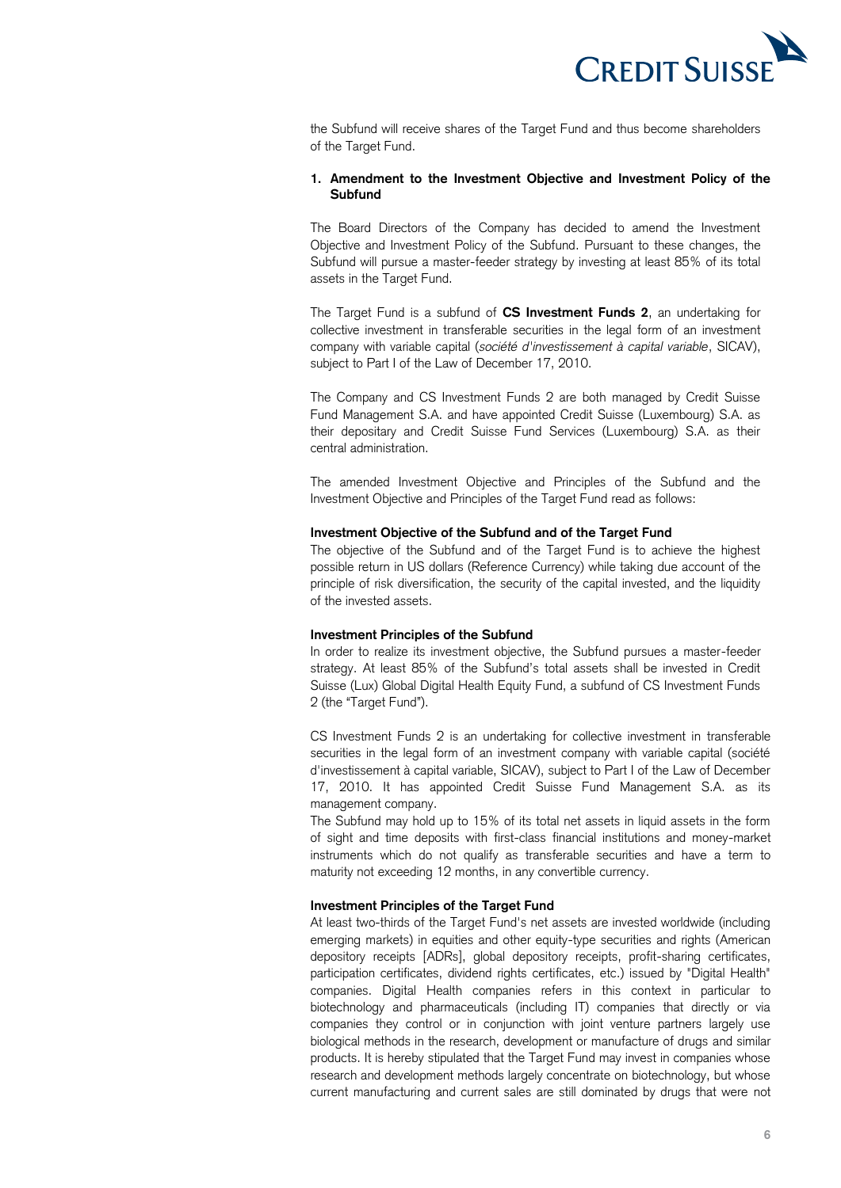

 the Subfund will receive shares of the Target Fund and thus become shareholders of the Target Fund.

### **1. Amendment to the Investment Objective and Investment Policy of the Subfund**

 The Board Directors of the Company has decided to amend the Investment Objective and Investment Policy of the Subfund. Pursuant to these changes, the Subfund will pursue a master-feeder strategy by investing at least 85% of its total assets in the Target Fund.

 The Target Fund is a subfund of **CS Investment Funds 2**, an undertaking for collective investment in transferable securities in the legal form of an investment company with variable capital (*société d'investissement à capital variable*, SICAV), subject to Part I of the Law of December 17, 2010.

 The Company and CS Investment Funds 2 are both managed by Credit Suisse Fund Management S.A. and have appointed Credit Suisse (Luxembourg) S.A. as their depositary and Credit Suisse Fund Services (Luxembourg) S.A. as their central administration.

 The amended Investment Objective and Principles of the Subfund and the Investment Objective and Principles of the Target Fund read as follows:

### **Investment Objective of the Subfund and of the Target Fund**

 The objective of the Subfund and of the Target Fund is to achieve the highest possible return in US dollars (Reference Currency) while taking due account of the principle of risk diversification, the security of the capital invested, and the liquidity of the invested assets.

### **Investment Principles of the Subfund**

 In order to realize its investment objective, the Subfund pursues a master-feeder strategy. At least 85% of the Subfund's total assets shall be invested in Credit Suisse (Lux) Global Digital Health Equity Fund, a subfund of CS Investment Funds 2 (the "Target Fund").

 CS Investment Funds 2 is an undertaking for collective investment in transferable securities in the legal form of an investment company with variable capital (société 17, 2010. It has appointed Credit Suisse Fund Management S.A. as its d'investissement à capital variable, SICAV), subject to Part I of the Law of December management company.

 The Subfund may hold up to 15% of its total net assets in liquid assets in the form of sight and time deposits with first-class financial institutions and money-market instruments which do not qualify as transferable securities and have a term to maturity not exceeding 12 months, in any convertible currency.

### **Investment Principles of the Target Fund**

 At least two-thirds of the Target Fund's net assets are invested worldwide (including emerging markets) in equities and other equity-type securities and rights (American depository receipts [ADRs], global depository receipts, profit-sharing certificates, participation certificates, dividend rights certificates, etc.) issued by "Digital Health" companies. Digital Health companies refers in this context in particular to biotechnology and pharmaceuticals (including IT) companies that directly or via companies they control or in conjunction with joint venture partners largely use biological methods in the research, development or manufacture of drugs and similar products. It is hereby stipulated that the Target Fund may invest in companies whose research and development methods largely concentrate on biotechnology, but whose current manufacturing and current sales are still dominated by drugs that were not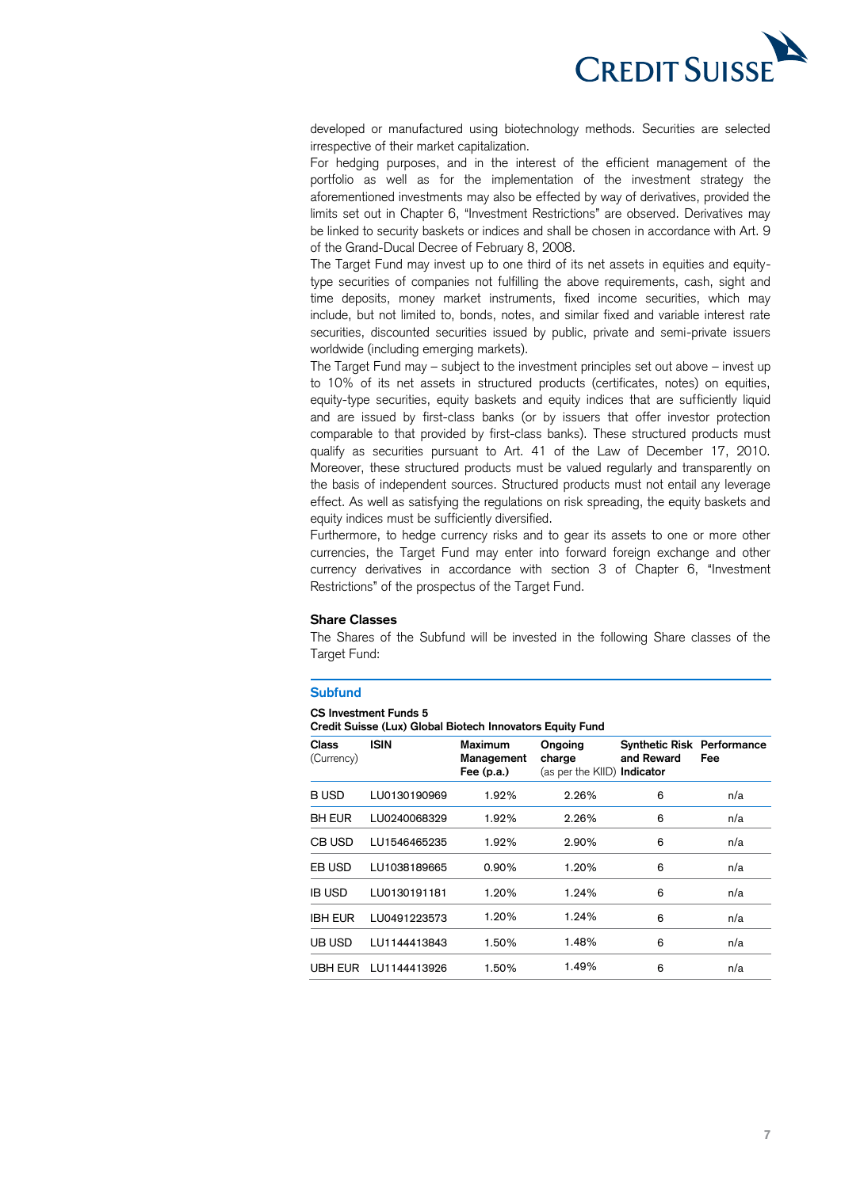

 developed or manufactured using biotechnology methods. Securities are selected irrespective of their market capitalization.

 For hedging purposes, and in the interest of the efficient management of the portfolio as well as for the implementation of the investment strategy the aforementioned investments may also be effected by way of derivatives, provided the limits set out in Chapter 6, "Investment Restrictions" are observed. Derivatives may be linked to security baskets or indices and shall be chosen in accordance with Art. 9 of the Grand-Ducal Decree of February 8, 2008.

 The Target Fund may invest up to one third of its net assets in equities and equity- type securities of companies not fulfilling the above requirements, cash, sight and time deposits, money market instruments, fixed income securities, which may include, but not limited to, bonds, notes, and similar fixed and variable interest rate securities, discounted securities issued by public, private and semi-private issuers worldwide (including emerging markets).

 The Target Fund may – subject to the investment principles set out above – invest up to 10% of its net assets in structured products (certificates, notes) on equities, equity-type securities, equity baskets and equity indices that are sufficiently liquid and are issued by first-class banks (or by issuers that offer investor protection comparable to that provided by first-class banks). These structured products must qualify as securities pursuant to Art. 41 of the Law of December 17, 2010. Moreover, these structured products must be valued regularly and transparently on the basis of independent sources. Structured products must not entail any leverage effect. As well as satisfying the regulations on risk spreading, the equity baskets and equity indices must be sufficiently diversified.

 Furthermore, to hedge currency risks and to gear its assets to one or more other currencies, the Target Fund may enter into forward foreign exchange and other currency derivatives in accordance with section 3 of Chapter 6, "Investment Restrictions" of the prospectus of the Target Fund.

#### **Share Classes**

 The Shares of the Subfund will be invested in the following Share classes of the Target Fund:

### **Subfund**

#### **CS Investment Funds 5**

 **Credit Suisse (Lux) Global Biotech Innovators Equity Fund** 

| <b>Class</b><br>(Currency) | <b>ISIN</b>  | Maximum<br>Management<br>Fee $(p.a.)$ | Ongoing<br>charge<br>(as per the KIID) Indicator | <b>Synthetic Risk Performance</b><br>and Reward | Fee |
|----------------------------|--------------|---------------------------------------|--------------------------------------------------|-------------------------------------------------|-----|
| <b>BUSD</b>                | LU0130190969 | 1.92%                                 | 2.26%                                            | 6                                               | n/a |
| <b>BH EUR</b>              | LU0240068329 | 1.92%                                 | 2.26%                                            | 6                                               | n/a |
| CB USD                     | LU1546465235 | 1.92%                                 | 2.90%                                            | 6                                               | n/a |
| EB USD                     | LU1038189665 | 0.90%                                 | 1.20%                                            | 6                                               | n/a |
| <b>IB USD</b>              | LU0130191181 | 1.20%                                 | 1.24%                                            | 6                                               | n/a |
| <b>IBH EUR</b>             | LU0491223573 | 1.20%                                 | 1.24%                                            | 6                                               | n/a |
| UB USD                     | LU1144413843 | 1.50%                                 | 1.48%                                            | 6                                               | n/a |
| UBH EUR                    | LU1144413926 | 1.50%                                 | 1.49%                                            | 6                                               | n/a |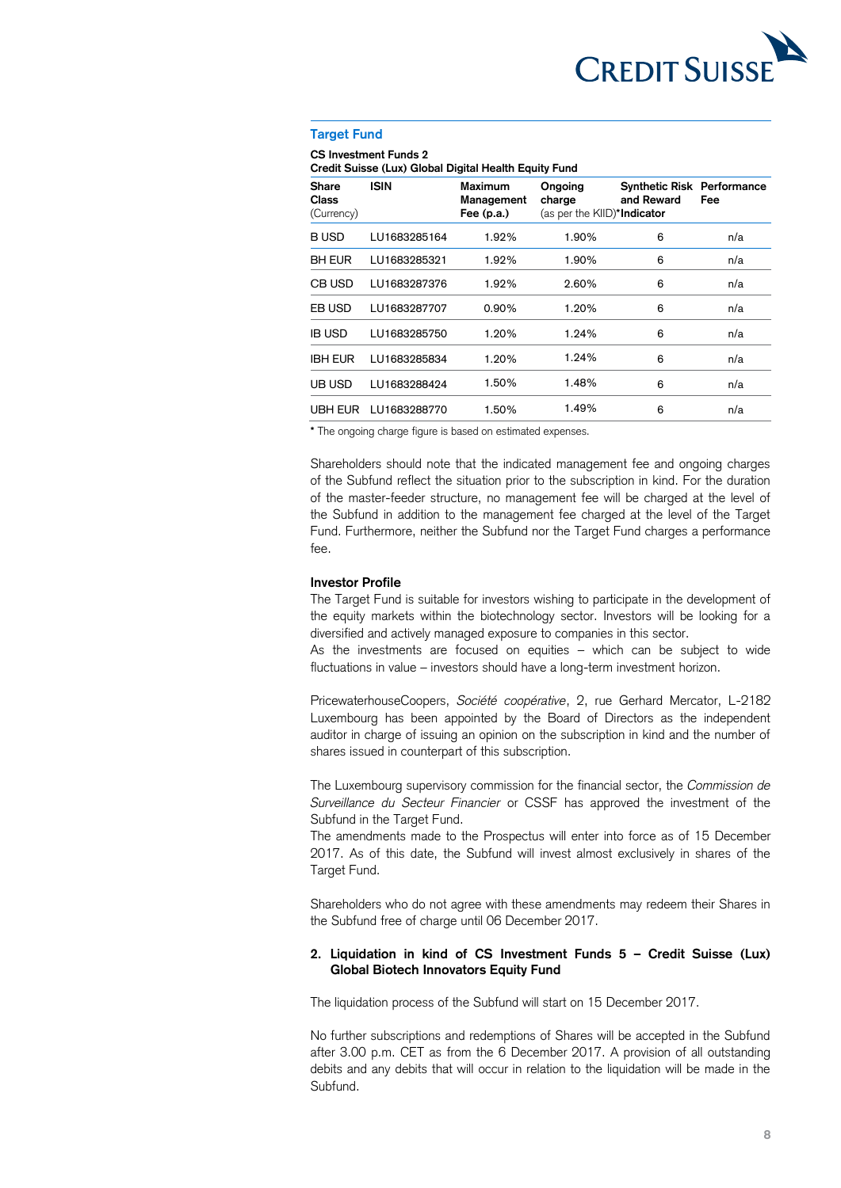

### **Target Fund**

 **Credit Suisse (Lux) Global Digital Health Equity Fund CS Investment Funds 2** 

| <b>Share</b><br><b>Class</b><br>(Currency) | <b>ISIN</b>  | Maximum<br>Management<br>Fee $(p.a.)$ | Ongoing<br>charge<br>(as per the KIID)*Indicator | <b>Synthetic Risk Performance</b><br>and Reward | Fee |  |
|--------------------------------------------|--------------|---------------------------------------|--------------------------------------------------|-------------------------------------------------|-----|--|
| B USD                                      | LU1683285164 | 1.92%                                 | 1.90%                                            | 6                                               | n/a |  |
| <b>BH EUR</b>                              | LU1683285321 | 1.92%                                 | 1.90%                                            | 6                                               | n/a |  |
| CB USD                                     | LU1683287376 | 1.92%                                 | 2.60%                                            | 6                                               | n/a |  |
| EB USD                                     | LU1683287707 | 0.90%                                 | 1.20%                                            | 6                                               | n/a |  |
| <b>IB USD</b>                              | LU1683285750 | 1.20%                                 | 1.24%                                            | 6                                               | n/a |  |
| <b>IBH EUR</b>                             | LU1683285834 | 1.20%                                 | 1.24%                                            | 6                                               | n/a |  |
| UB USD                                     | LU1683288424 | 1.50%                                 | 1.48%                                            | 6                                               | n/a |  |
| UBH EUR                                    | LU1683288770 | 1.50%                                 | 1.49%                                            | 6                                               | n/a |  |

**\*** The ongoing charge figure is based on estimated expenses.

 Shareholders should note that the indicated management fee and ongoing charges of the Subfund reflect the situation prior to the subscription in kind. For the duration of the master-feeder structure, no management fee will be charged at the level of the Subfund in addition to the management fee charged at the level of the Target Fund. Furthermore, neither the Subfund nor the Target Fund charges a performance fee.

### **Investor Profile**

 The Target Fund is suitable for investors wishing to participate in the development of the equity markets within the biotechnology sector. Investors will be looking for a diversified and actively managed exposure to companies in this sector.

 As the investments are focused on equities – which can be subject to wide fluctuations in value – investors should have a long-term investment horizon.

 PricewaterhouseCoopers, *Société coopérative*, 2, rue Gerhard Mercator, L-2182 Luxembourg has been appointed by the Board of Directors as the independent auditor in charge of issuing an opinion on the subscription in kind and the number of shares issued in counterpart of this subscription.

shares issued in counterpart of this subscription.<br>The Luxembourg supervisory commission for the financial sector, the *Commission de Surveillance du Secteur Financier* or CSSF has approved the investment of the Subfund in the Target Fund.

 The amendments made to the Prospectus will enter into force as of 15 December 2017. As of this date, the Subfund will invest almost exclusively in shares of the Target Fund.

 Shareholders who do not agree with these amendments may redeem their Shares in the Subfund free of charge until 06 December 2017.

### **2. Liquidation in kind of CS Investment Funds 5 – Credit Suisse (Lux) Global Biotech Innovators Equity Fund**

The liquidation process of the Subfund will start on 15 December 2017.

The liquidation process of the Subfund will start on 15 December 2017.<br>No further subscriptions and redemptions of Shares will be accepted in the Subfund after 3.00 p.m. CET as from the 6 December 2017. A provision of all outstanding debits and any debits that will occur in relation to the liquidation will be made in the Subfund.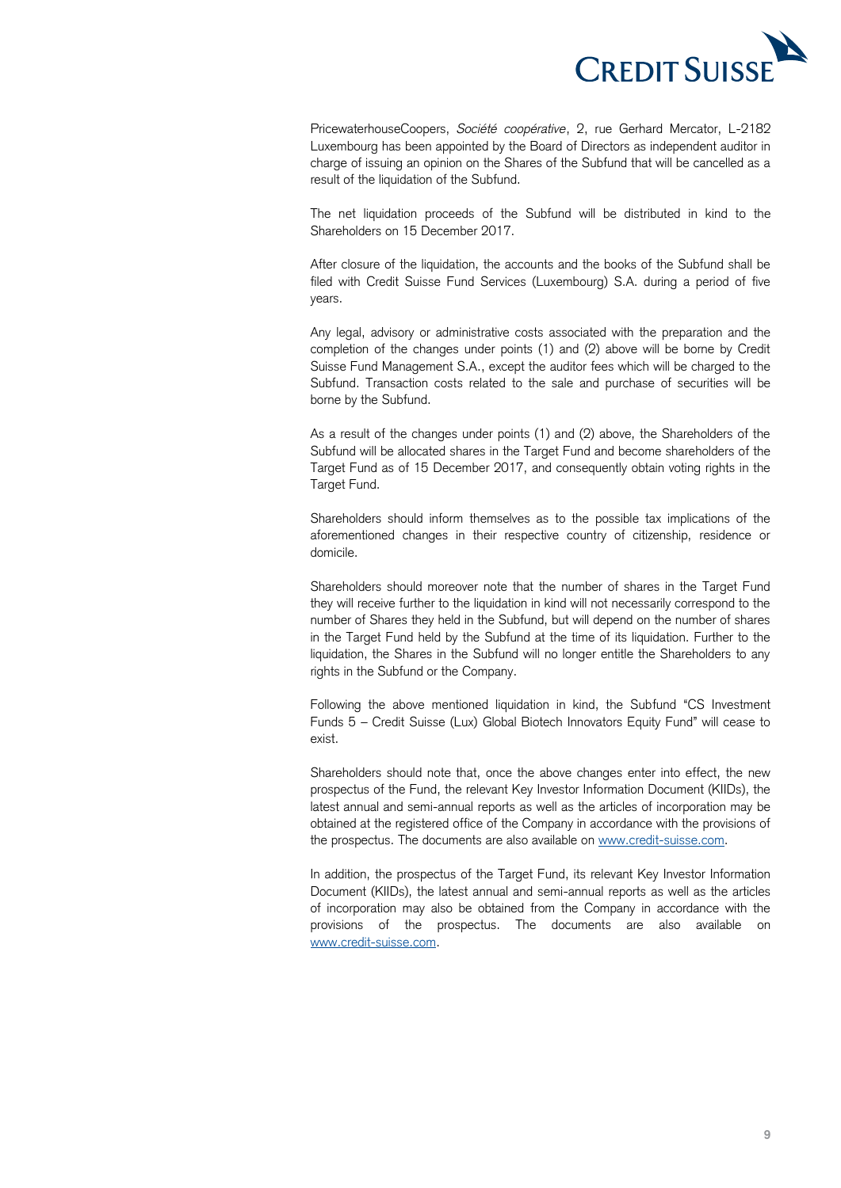

 PricewaterhouseCoopers, *Société coopérative*, 2, rue Gerhard Mercator, L-2182 Luxembourg has been appointed by the Board of Directors as independent auditor in charge of issuing an opinion on the Shares of the Subfund that will be cancelled as a result of the liquidation of the Subfund.

 The net liquidation proceeds of the Subfund will be distributed in kind to the Shareholders on 15 December 2017.

 After closure of the liquidation, the accounts and the books of the Subfund shall be filed with Credit Suisse Fund Services (Luxembourg) S.A. during a period of five years.

 Any legal, advisory or administrative costs associated with the preparation and the completion of the changes under points (1) and (2) above will be borne by Credit Suisse Fund Management S.A., except the auditor fees which will be charged to the Subfund. Transaction costs related to the sale and purchase of securities will be borne by the Subfund.

 As a result of the changes under points (1) and (2) above, the Shareholders of the Subfund will be allocated shares in the Target Fund and become shareholders of the Target Fund as of 15 December 2017, and consequently obtain voting rights in the Target Fund.

 Shareholders should inform themselves as to the possible tax implications of the aforementioned changes in their respective country of citizenship, residence or domicile.

 Shareholders should moreover note that the number of shares in the Target Fund they will receive further to the liquidation in kind will not necessarily correspond to the number of Shares they held in the Subfund, but will depend on the number of shares in the Target Fund held by the Subfund at the time of its liquidation. Further to the liquidation, the Shares in the Subfund will no longer entitle the Shareholders to any rights in the Subfund or the Company.

 Following the above mentioned liquidation in kind, the Subfund "CS Investment Funds 5 – Credit Suisse (Lux) Global Biotech Innovators Equity Fund" will cease to exist.

 Shareholders should note that, once the above changes enter into effect, the new prospectus of the Fund, the relevant Key Investor Information Document (KIIDs), the latest annual and semi-annual reports as well as the articles of incorporation may be obtained at the registered office of the Company in accordance with the provisions of the prospectus. The documents are also available on [www.credit-suisse.com.](http://www.credit-suisse.com/)

 In addition, the prospectus of the Target Fund, its relevant Key Investor Information Document (KIIDs), the latest annual and semi-annual reports as well as the articles of incorporation may also be obtained from the Company in accordance with the provisions of the prospectus. The documents are also available on [www.credit-suisse.com.](http://www.credit-suisse.com/)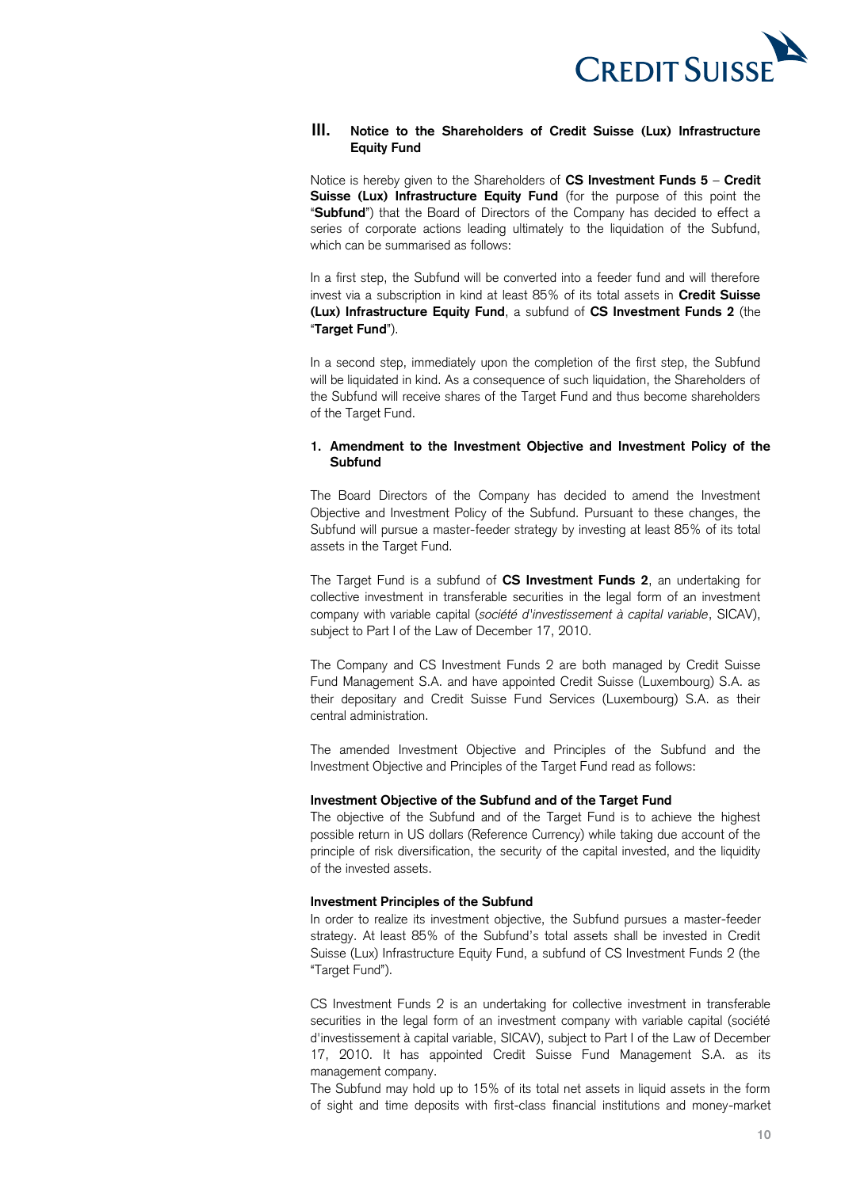

### **III. Notice to the Shareholders of Credit Suisse (Lux) Infrastructure Equity Fund**

 Notice is hereby given to the Shareholders of **CS Investment Funds 5** – **Credit**  Suisse (Lux) Infrastructure Equity Fund (for the purpose of this point the "**Subfund**") that the Board of Directors of the Company has decided to effect a series of corporate actions leading ultimately to the liquidation of the Subfund, which can be summarised as follows:

 In a first step, the Subfund will be converted into a feeder fund and will therefore invest via a subscription in kind at least 85% of its total assets in **Credit Suisse (Lux) Infrastructure Equity Fund**, a subfund of **CS Investment Funds 2** (the "**Target Fund**").

 In a second step, immediately upon the completion of the first step, the Subfund the Subfund will receive shares of the Target Fund and thus become shareholders will be liquidated in kind. As a consequence of such liquidation, the Shareholders of of the Target Fund.

### **1. Amendment to the Investment Objective and Investment Policy of the Subfund**

 The Board Directors of the Company has decided to amend the Investment Objective and Investment Policy of the Subfund. Pursuant to these changes, the Subfund will pursue a master-feeder strategy by investing at least 85% of its total assets in the Target Fund.

 The Target Fund is a subfund of **CS Investment Funds 2**, an undertaking for collective investment in transferable securities in the legal form of an investment company with variable capital (*société d'investissement à capital variable*, SICAV), subject to Part I of the Law of December 17, 2010.

 The Company and CS Investment Funds 2 are both managed by Credit Suisse Fund Management S.A. and have appointed Credit Suisse (Luxembourg) S.A. as their depositary and Credit Suisse Fund Services (Luxembourg) S.A. as their central administration.

 The amended Investment Objective and Principles of the Subfund and the Investment Objective and Principles of the Target Fund read as follows:

### **Investment Objective of the Subfund and of the Target Fund**

 The objective of the Subfund and of the Target Fund is to achieve the highest possible return in US dollars (Reference Currency) while taking due account of the principle of risk diversification, the security of the capital invested, and the liquidity of the invested assets.

### **Investment Principles of the Subfund**

 In order to realize its investment objective, the Subfund pursues a master-feeder strategy. At least 85% of the Subfund's total assets shall be invested in Credit Suisse (Lux) Infrastructure Equity Fund, a subfund of CS Investment Funds 2 (the "Target Fund").

 CS Investment Funds 2 is an undertaking for collective investment in transferable securities in the legal form of an investment company with variable capital (société 17, 2010. It has appointed Credit Suisse Fund Management S.A. as its d'investissement à capital variable, SICAV), subject to Part I of the Law of December management company.

 The Subfund may hold up to 15% of its total net assets in liquid assets in the form of sight and time deposits with first-class financial institutions and money-market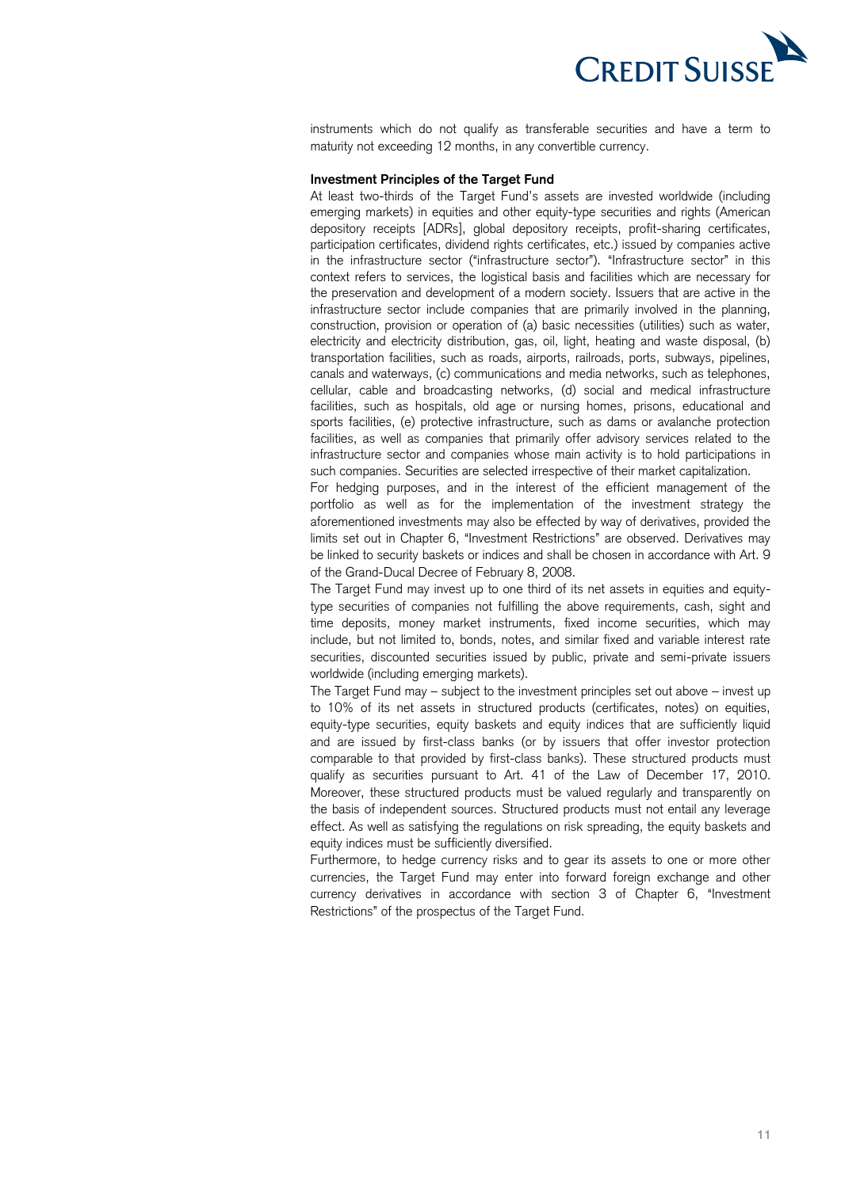

 instruments which do not qualify as transferable securities and have a term to maturity not exceeding 12 months, in any convertible currency.

### **Investment Principles of the Target Fund**

 At least two-thirds of the Target Fund's assets are invested worldwide (including emerging markets) in equities and other equity-type securities and rights (American depository receipts [ADRs], global depository receipts, profit-sharing certificates, participation certificates, dividend rights certificates, etc.) issued by companies active in the infrastructure sector ("infrastructure sector"). "Infrastructure sector" in this context refers to services, the logistical basis and facilities which are necessary for the preservation and development of a modern society. Issuers that are active in the infrastructure sector include companies that are primarily involved in the planning, construction, provision or operation of (a) basic necessities (utilities) such as water, electricity and electricity distribution, gas, oil, light, heating and waste disposal, (b) transportation facilities, such as roads, airports, railroads, ports, subways, pipelines, cellular, cable and broadcasting networks, (d) social and medical infrastructure facilities, such as hospitals, old age or nursing homes, prisons, educational and sports facilities, (e) protective infrastructure, such as dams or avalanche protection facilities, as well as companies that primarily offer advisory services related to the infrastructure sector and companies whose main activity is to hold participations in canals and waterways, (c) communications and media networks, such as telephones, such companies. Securities are selected irrespective of their market capitalization.

 For hedging purposes, and in the interest of the efficient management of the portfolio as well as for the implementation of the investment strategy the aforementioned investments may also be effected by way of derivatives, provided the limits set out in Chapter 6, "Investment Restrictions" are observed. Derivatives may be linked to security baskets or indices and shall be chosen in accordance with Art. 9 of the Grand-Ducal Decree of February 8, 2008.

 The Target Fund may invest up to one third of its net assets in equities and equity- type securities of companies not fulfilling the above requirements, cash, sight and time deposits, money market instruments, fixed income securities, which may include, but not limited to, bonds, notes, and similar fixed and variable interest rate securities, discounted securities issued by public, private and semi-private issuers worldwide (including emerging markets).

 The Target Fund may – subject to the investment principles set out above – invest up to 10% of its net assets in structured products (certificates, notes) on equities, equity-type securities, equity baskets and equity indices that are sufficiently liquid and are issued by first-class banks (or by issuers that offer investor protection comparable to that provided by first-class banks). These structured products must qualify as securities pursuant to Art. 41 of the Law of December 17, 2010. Moreover, these structured products must be valued regularly and transparently on the basis of independent sources. Structured products must not entail any leverage effect. As well as satisfying the regulations on risk spreading, the equity baskets and equity indices must be sufficiently diversified.

 Furthermore, to hedge currency risks and to gear its assets to one or more other currencies, the Target Fund may enter into forward foreign exchange and other currency derivatives in accordance with section 3 of Chapter 6, "Investment Restrictions" of the prospectus of the Target Fund.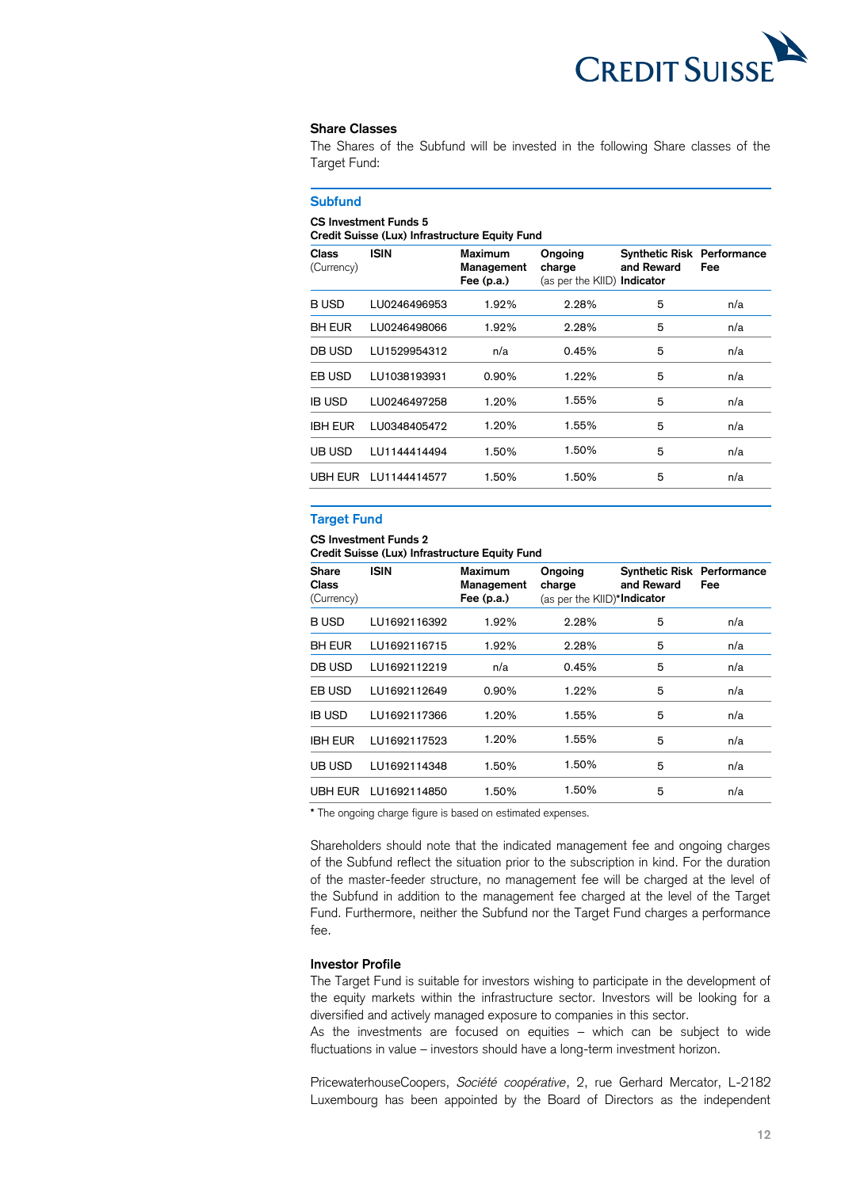

#### **Share Classes**

 The Shares of the Subfund will be invested in the following Share classes of the Target Fund:

## **Credit Suisse (Lux) Infrastructure Equity Fund**  and Reward **Subfund CS Investment Funds 5 Class ISIN Maximum Ongoing Synthetic Risk Performance**  (Currency) **Management charge and Reward Fee Fee (p.a.)** (as per the KIID) **Indicator**  B USD LU0246496953 1.92% 2.28% 5 n/a BH EUR LU0246498066 1.92% 2.28% 5 n/a DB USD LU1529954312 n/a 0.45% 5 n/a EB USD LU1038193931 0.90% 1.22% 5 n/a IB USD LU0246497258 1.20% 1.55% 5 n/a IBH EUR LU0348405472 1.20% 1.55% 5 n/a UB USD LU1144414494 1.50% 1.50% 5 n/a UBH EUR LU1144414577 1.50% 1.50% 5 n/a

### **Target Fund**

### **CS Investment Funds 2**

 **Credit Suisse (Lux) Infrastructure Equity Fund** 

| <b>Share</b><br>Class<br>(Currency) | <b>ISIN</b>  | <b>Maximum</b><br>Management<br>Fee $(p.a.)$ | Ongoing<br>charge<br>(as per the KIID)*Indicator | <b>Synthetic Risk Performance</b><br>and Reward | Fee |
|-------------------------------------|--------------|----------------------------------------------|--------------------------------------------------|-------------------------------------------------|-----|
| <b>BUSD</b>                         | LU1692116392 | 1.92%                                        | 2.28%                                            | 5                                               | n/a |
| <b>BH EUR</b>                       | LU1692116715 | 1.92%                                        | 2.28%                                            | 5                                               | n/a |
| DB USD                              | LU1692112219 | n/a                                          | 0.45%                                            | 5                                               | n/a |
| EB USD                              | LU1692112649 | 0.90%                                        | 1.22%                                            | 5                                               | n/a |
| <b>IB USD</b>                       | LU1692117366 | 1.20%                                        | 1.55%                                            | 5                                               | n/a |
| <b>IBH EUR</b>                      | LU1692117523 | 1.20%                                        | 1.55%                                            | 5                                               | n/a |
| UB USD                              | LU1692114348 | 1.50%                                        | 1.50%                                            | 5                                               | n/a |
| UBH EUR                             | LU1692114850 | 1.50%                                        | 1.50%                                            | 5                                               | n/a |

**\*** The ongoing charge figure is based on estimated expenses.

 Shareholders should note that the indicated management fee and ongoing charges of the Subfund reflect the situation prior to the subscription in kind. For the duration of the master-feeder structure, no management fee will be charged at the level of the Subfund in addition to the management fee charged at the level of the Target Fund. Furthermore, neither the Subfund nor the Target Fund charges a performance fee.

### **Investor Profile**

 The Target Fund is suitable for investors wishing to participate in the development of the equity markets within the infrastructure sector. Investors will be looking for a diversified and actively managed exposure to companies in this sector.

 As the investments are focused on equities – which can be subject to wide fluctuations in value – investors should have a long-term investment horizon.

 PricewaterhouseCoopers, *Société coopérative*, 2, rue Gerhard Mercator, L-2182 Luxembourg has been appointed by the Board of Directors as the independent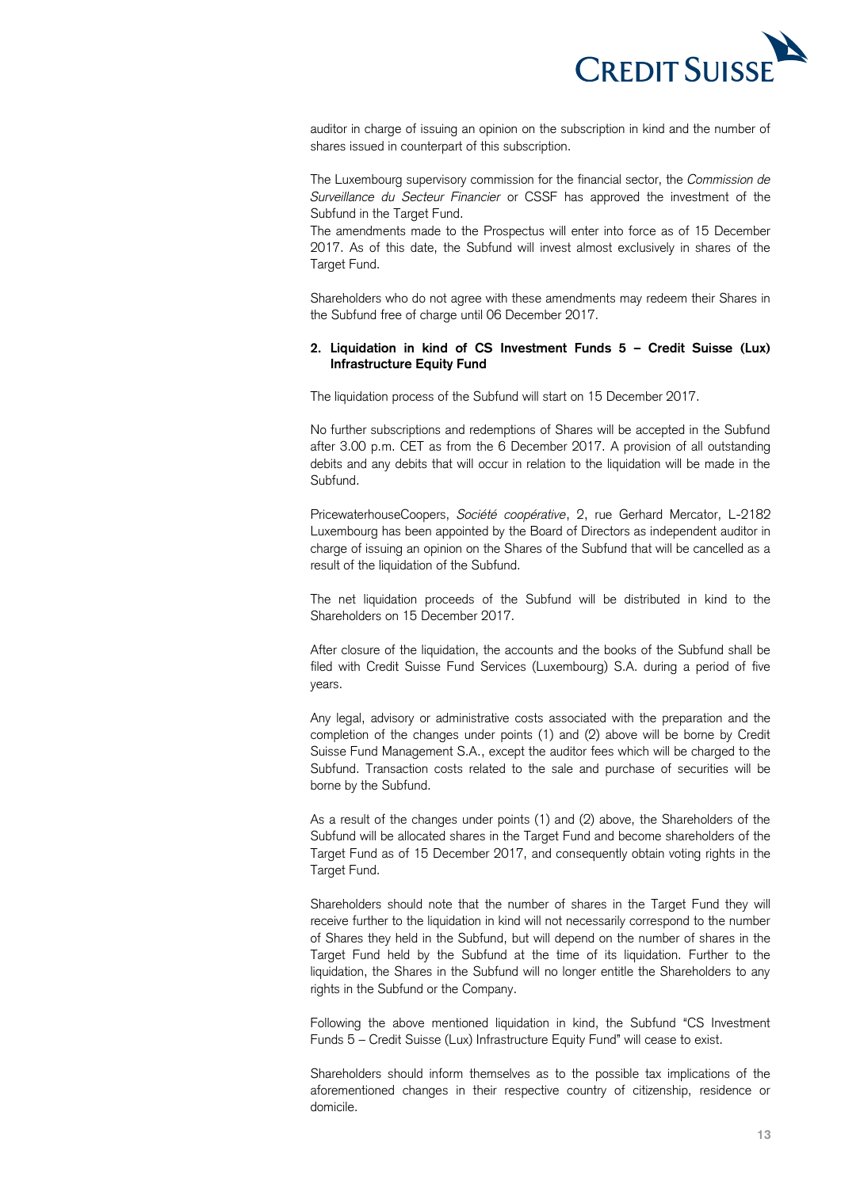

 auditor in charge of issuing an opinion on the subscription in kind and the number of shares issued in counterpart of this subscription.

 The Luxembourg supervisory commission for the financial sector, the *Commission de Surveillance du Secteur Financier* or CSSF has approved the investment of the Subfund in the Target Fund.

 The amendments made to the Prospectus will enter into force as of 15 December 2017. As of this date, the Subfund will invest almost exclusively in shares of the Target Fund.

 Shareholders who do not agree with these amendments may redeem their Shares in the Subfund free of charge until 06 December 2017.

### **2. Liquidation in kind of CS Investment Funds 5 – Credit Suisse (Lux) Infrastructure Equity Fund**

The liquidation process of the Subfund will start on 15 December 2017.

The liquidation process of the Subfund will start on 15 December 2017.<br>No further subscriptions and redemptions of Shares will be accepted in the Subfund after 3.00 p.m. CET as from the 6 December 2017. A provision of all outstanding debits and any debits that will occur in relation to the liquidation will be made in the Subfund.

 PricewaterhouseCoopers, *Société coopérative*, 2, rue Gerhard Mercator, L-2182 Luxembourg has been appointed by the Board of Directors as independent auditor in charge of issuing an opinion on the Shares of the Subfund that will be cancelled as a result of the liquidation of the Subfund.

 The net liquidation proceeds of the Subfund will be distributed in kind to the Shareholders on 15 December 2017.

 After closure of the liquidation, the accounts and the books of the Subfund shall be filed with Credit Suisse Fund Services (Luxembourg) S.A. during a period of five years.

 Any legal, advisory or administrative costs associated with the preparation and the completion of the changes under points (1) and (2) above will be borne by Credit Suisse Fund Management S.A., except the auditor fees which will be charged to the Subfund. Transaction costs related to the sale and purchase of securities will be borne by the Subfund.

 As a result of the changes under points (1) and (2) above, the Shareholders of the Subfund will be allocated shares in the Target Fund and become shareholders of the Target Fund as of 15 December 2017, and consequently obtain voting rights in the Target Fund.

 Shareholders should note that the number of shares in the Target Fund they will receive further to the liquidation in kind will not necessarily correspond to the number of Shares they held in the Subfund, but will depend on the number of shares in the Target Fund held by the Subfund at the time of its liquidation. Further to the liquidation, the Shares in the Subfund will no longer entitle the Shareholders to any rights in the Subfund or the Company.

 Following the above mentioned liquidation in kind, the Subfund "CS Investment Funds 5 – Credit Suisse (Lux) Infrastructure Equity Fund" will cease to exist.

 Shareholders should inform themselves as to the possible tax implications of the aforementioned changes in their respective country of citizenship, residence or domicile.